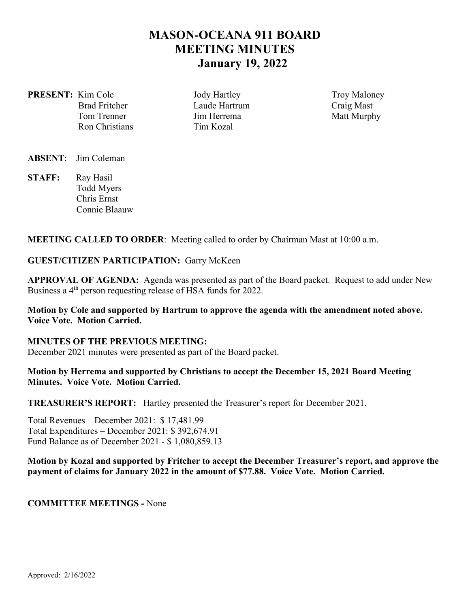# **MASON-OCEANA 911 BOARD MEETING MINUTES January 19, 2022**

**PRESENT:** Kim Cole **Jody Hartley** Troy Maloney Ron Christians Tim Kozal

Brad Fritcher **Laude Hartrum** Craig Mast Tom Trenner The United States United States and Matt Murphy

**ABSENT**: Jim Coleman

STAFF: Ray Hasil Todd Myers Chris Ernst Connie Blaauw

**MEETING CALLED TO ORDER**: Meeting called to order by Chairman Mast at 10:00 a.m.

#### **GUEST/CITIZEN PARTICIPATION:** Garry McKeen

**APPROVAL OF AGENDA:** Agenda was presented as part of the Board packet. Request to add under New Business a 4<sup>th</sup> person requesting release of HSA funds for 2022.

## **Motion by Cole and supported by Hartrum to approve the agenda with the amendment noted above. Voice Vote. Motion Carried.**

**MINUTES OF THE PREVIOUS MEETING:**  December 2021 minutes were presented as part of the Board packet.

### **Motion by Herrema and supported by Christians to accept the December 15, 2021 Board Meeting Minutes. Voice Vote. Motion Carried.**

**TREASURER'S REPORT:** Hartley presented the Treasurer's report for December 2021.

Total Revenues – December 2021: \$ 17,481.99 Total Expenditures – December 2021: \$ 392,674.91 Fund Balance as of December 2021 - \$ 1,080,859.13

## **Motion by Kozal and supported by Fritcher to accept the December Treasurer's report, and approve the payment of claims for January 2022 in the amount of \$77.88. Voice Vote. Motion Carried.**

#### **COMMITTEE MEETINGS -** None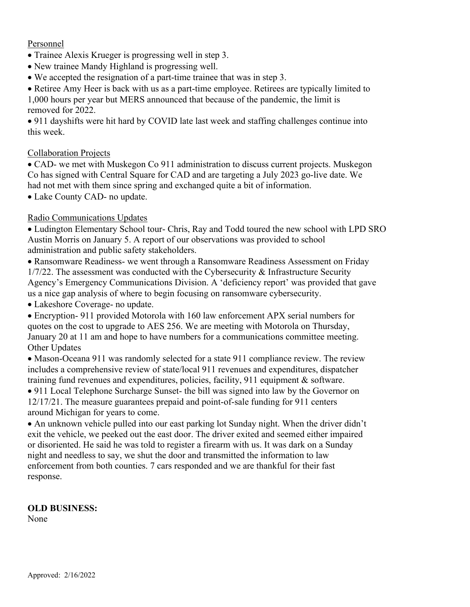## Personnel

- Trainee Alexis Krueger is progressing well in step 3.
- New trainee Mandy Highland is progressing well.
- We accepted the resignation of a part‐time trainee that was in step 3.
- Retiree Amy Heer is back with us as a part-time employee. Retirees are typically limited to

1,000 hours per year but MERS announced that because of the pandemic, the limit is removed for 2022.

 911 dayshifts were hit hard by COVID late last week and staffing challenges continue into this week.

## Collaboration Projects

• CAD- we met with Muskegon Co 911 administration to discuss current projects. Muskegon Co has signed with Central Square for CAD and are targeting a July 2023 go‐live date. We had not met with them since spring and exchanged quite a bit of information.

Lake County CAD‐ no update.

## Radio Communications Updates

 Ludington Elementary School tour‐ Chris, Ray and Todd toured the new school with LPD SRO Austin Morris on January 5. A report of our observations was provided to school administration and public safety stakeholders.

 Ransomware Readiness‐ we went through a Ransomware Readiness Assessment on Friday 1/7/22. The assessment was conducted with the Cybersecurity & Infrastructure Security Agency's Emergency Communications Division. A 'deficiency report' was provided that gave us a nice gap analysis of where to begin focusing on ransomware cybersecurity.

Lakeshore Coverage‐ no update.

 Encryption‐ 911 provided Motorola with 160 law enforcement APX serial numbers for quotes on the cost to upgrade to AES 256. We are meeting with Motorola on Thursday, January 20 at 11 am and hope to have numbers for a communications committee meeting. Other Updates

• Mason-Oceana 911 was randomly selected for a state 911 compliance review. The review includes a comprehensive review of state/local 911 revenues and expenditures, dispatcher training fund revenues and expenditures, policies, facility, 911 equipment & software.

• 911 Local Telephone Surcharge Sunset- the bill was signed into law by the Governor on 12/17/21. The measure guarantees prepaid and point‐of‐sale funding for 911 centers around Michigan for years to come.

 An unknown vehicle pulled into our east parking lot Sunday night. When the driver didn't exit the vehicle, we peeked out the east door. The driver exited and seemed either impaired or disoriented. He said he was told to register a firearm with us. It was dark on a Sunday night and needless to say, we shut the door and transmitted the information to law enforcement from both counties. 7 cars responded and we are thankful for their fast response.

## **OLD BUSINESS:**

None